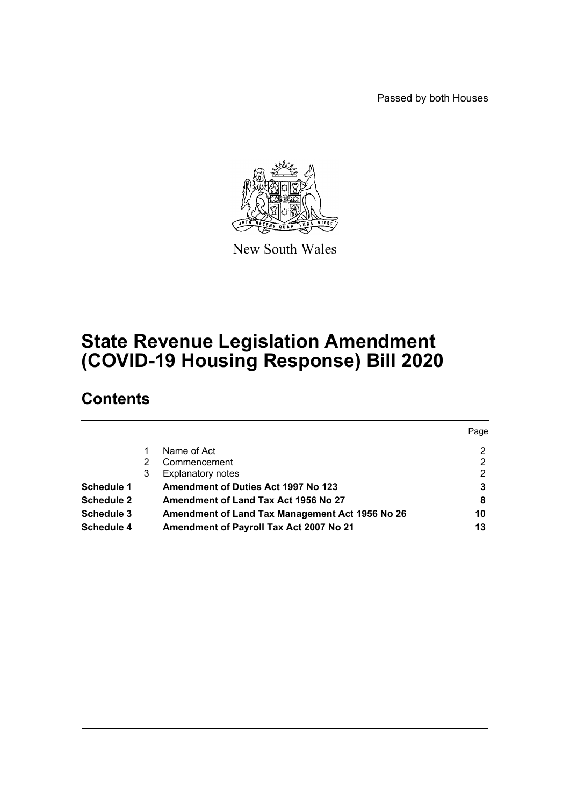Passed by both Houses



New South Wales

# **State Revenue Legislation Amendment (COVID-19 Housing Response) Bill 2020**

# **Contents**

|                   |   |                                                 | Page |
|-------------------|---|-------------------------------------------------|------|
|                   |   | Name of Act                                     | 2    |
|                   |   | Commencement                                    | 2    |
|                   | 3 | <b>Explanatory notes</b>                        | 2    |
| <b>Schedule 1</b> |   | Amendment of Duties Act 1997 No 123             | 3    |
| <b>Schedule 2</b> |   | Amendment of Land Tax Act 1956 No 27            | 8    |
| <b>Schedule 3</b> |   | Amendment of Land Tax Management Act 1956 No 26 | 10   |
| Schedule 4        |   | Amendment of Payroll Tax Act 2007 No 21         | 13   |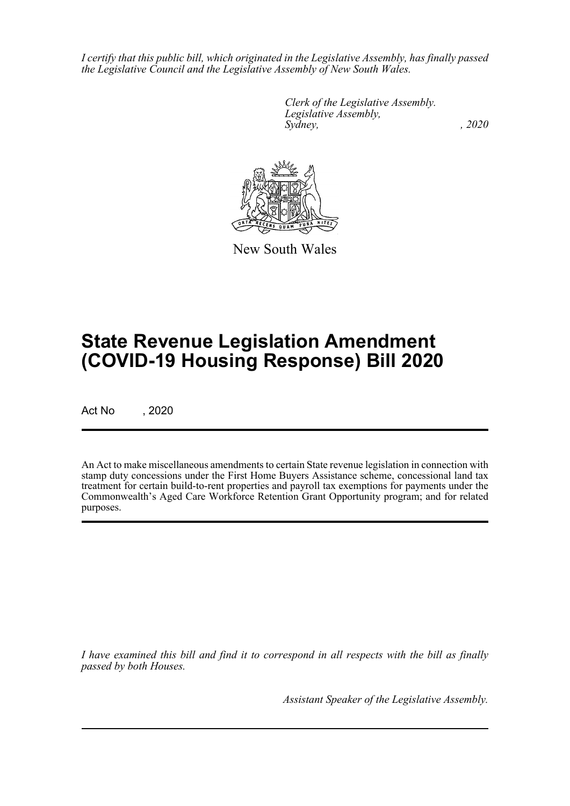*I certify that this public bill, which originated in the Legislative Assembly, has finally passed the Legislative Council and the Legislative Assembly of New South Wales.*

> *Clerk of the Legislative Assembly. Legislative Assembly, Sydney, , 2020*



New South Wales

# **State Revenue Legislation Amendment (COVID-19 Housing Response) Bill 2020**

Act No , 2020

An Act to make miscellaneous amendments to certain State revenue legislation in connection with stamp duty concessions under the First Home Buyers Assistance scheme, concessional land tax treatment for certain build-to-rent properties and payroll tax exemptions for payments under the Commonwealth's Aged Care Workforce Retention Grant Opportunity program; and for related purposes.

*I have examined this bill and find it to correspond in all respects with the bill as finally passed by both Houses.*

*Assistant Speaker of the Legislative Assembly.*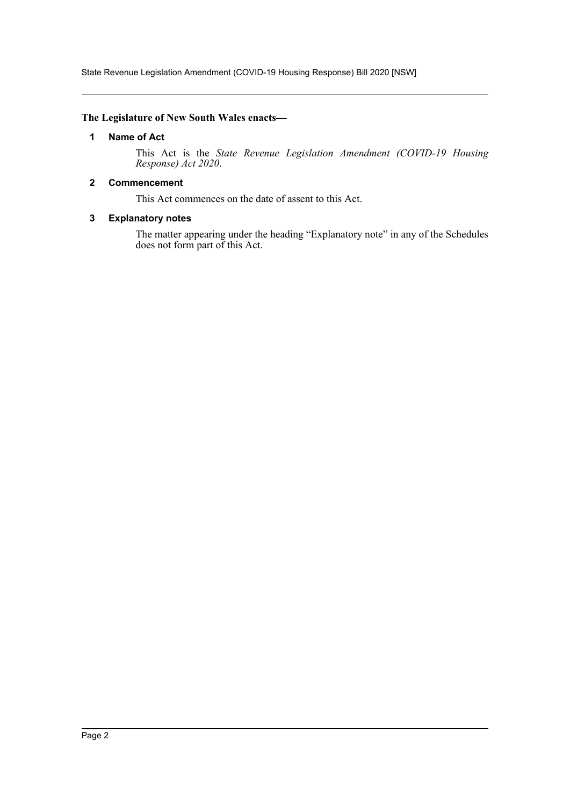State Revenue Legislation Amendment (COVID-19 Housing Response) Bill 2020 [NSW]

## <span id="page-2-0"></span>**The Legislature of New South Wales enacts—**

### **1 Name of Act**

This Act is the *State Revenue Legislation Amendment (COVID-19 Housing Response) Act 2020*.

#### <span id="page-2-1"></span>**2 Commencement**

This Act commences on the date of assent to this Act.

#### <span id="page-2-2"></span>**3 Explanatory notes**

The matter appearing under the heading "Explanatory note" in any of the Schedules does not form part of this Act.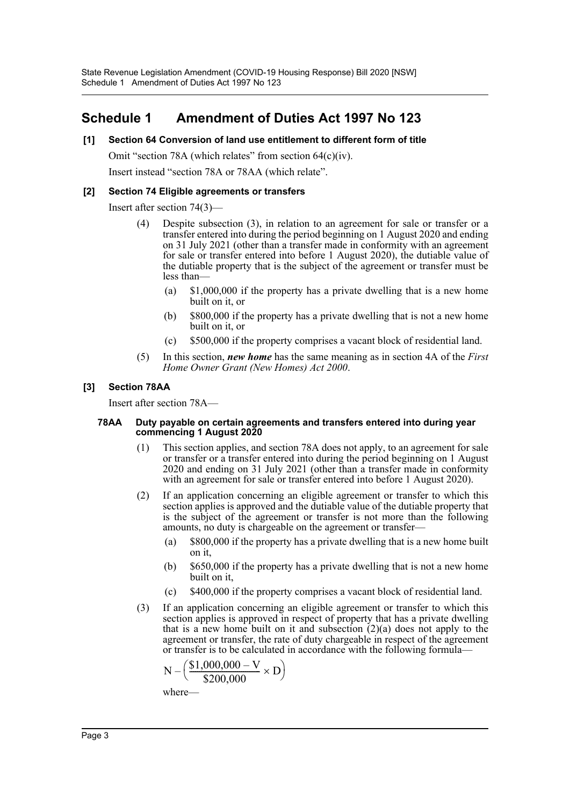# <span id="page-3-0"></span>**Schedule 1 Amendment of Duties Act 1997 No 123**

## **[1] Section 64 Conversion of land use entitlement to different form of title**

Omit "section 78A (which relates" from section 64(c)(iv).

Insert instead "section 78A or 78AA (which relate".

#### **[2] Section 74 Eligible agreements or transfers**

Insert after section 74(3)—

- (4) Despite subsection (3), in relation to an agreement for sale or transfer or a transfer entered into during the period beginning on 1 August 2020 and ending on 31 July 2021 (other than a transfer made in conformity with an agreement for sale or transfer entered into before 1 August 2020), the dutiable value of the dutiable property that is the subject of the agreement or transfer must be less than—
	- (a) \$1,000,000 if the property has a private dwelling that is a new home built on it, or
	- (b) \$800,000 if the property has a private dwelling that is not a new home built on it, or
	- (c) \$500,000 if the property comprises a vacant block of residential land.
- (5) In this section, *new home* has the same meaning as in section 4A of the *First Home Owner Grant (New Homes) Act 2000*.

#### **[3] Section 78AA**

Insert after section 78A—

#### **78AA Duty payable on certain agreements and transfers entered into during year commencing 1 August 2020**

- (1) This section applies, and section 78A does not apply, to an agreement for sale or transfer or a transfer entered into during the period beginning on 1 August 2020 and ending on 31 July 2021 (other than a transfer made in conformity with an agreement for sale or transfer entered into before 1 August 2020).
- (2) If an application concerning an eligible agreement or transfer to which this section applies is approved and the dutiable value of the dutiable property that is the subject of the agreement or transfer is not more than the following amounts, no duty is chargeable on the agreement or transfer—
	- (a) \$800,000 if the property has a private dwelling that is a new home built on it,
	- (b) \$650,000 if the property has a private dwelling that is not a new home built on it,
	- (c) \$400,000 if the property comprises a vacant block of residential land.
- (3) If an application concerning an eligible agreement or transfer to which this section applies is approved in respect of property that has a private dwelling that is a new home built on it and subsection  $(2)(a)$  does not apply to the agreement or transfer, the rate of duty chargeable in respect of the agreement or transfer is to be calculated in accordance with the following formula—

$$
N - \left(\frac{\$1,000,000 - V}{\$200,000} \times D\right)
$$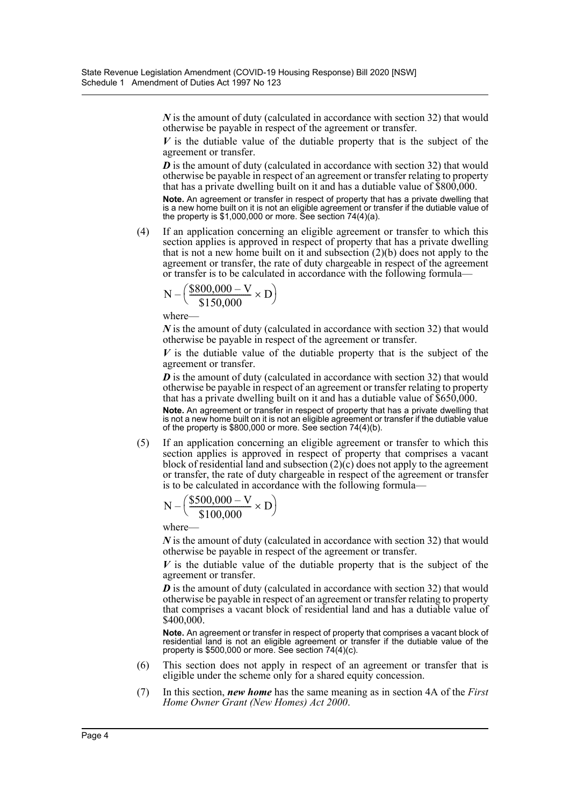*N* is the amount of duty (calculated in accordance with section 32) that would otherwise be payable in respect of the agreement or transfer.

*V* is the dutiable value of the dutiable property that is the subject of the agreement or transfer.

*D* is the amount of duty (calculated in accordance with section 32) that would otherwise be payable in respect of an agreement or transfer relating to property that has a private dwelling built on it and has a dutiable value of \$800,000.

**Note.** An agreement or transfer in respect of property that has a private dwelling that is a new home built on it is not an eligible agreement or transfer if the dutiable value of the property is \$1,000,000 or more. See section 74(4)(a).

(4) If an application concerning an eligible agreement or transfer to which this section applies is approved in respect of property that has a private dwelling that is not a new home built on it and subsection  $(2)(b)$  does not apply to the agreement or transfer, the rate of duty chargeable in respect of the agreement or transfer is to be calculated in accordance with the following formula—

$$
N - \left(\frac{\$800,000 - V}{\$150,000} \times D\right)
$$

where—

*N* is the amount of duty (calculated in accordance with section 32) that would otherwise be payable in respect of the agreement or transfer.

*V* is the dutiable value of the dutiable property that is the subject of the agreement or transfer.

*D* is the amount of duty (calculated in accordance with section 32) that would otherwise be payable in respect of an agreement or transfer relating to property that has a private dwelling built on it and has a dutiable value of  $$650,000$ .

**Note.** An agreement or transfer in respect of property that has a private dwelling that is not a new home built on it is not an eligible agreement or transfer if the dutiable value of the property is \$800,000 or more. See section 74(4)(b).

(5) If an application concerning an eligible agreement or transfer to which this section applies is approved in respect of property that comprises a vacant block of residential land and subsection  $(2)(c)$  does not apply to the agreement or transfer, the rate of duty chargeable in respect of the agreement or transfer is to be calculated in accordance with the following formula—

$$
N - \left( \frac{\$500,000 - V}{\$100,000} \times D \right)
$$

where—

*N* is the amount of duty (calculated in accordance with section 32) that would otherwise be payable in respect of the agreement or transfer.

*V* is the dutiable value of the dutiable property that is the subject of the agreement or transfer.

*D* is the amount of duty (calculated in accordance with section 32) that would otherwise be payable in respect of an agreement or transfer relating to property that comprises a vacant block of residential land and has a dutiable value of \$400,000.

**Note.** An agreement or transfer in respect of property that comprises a vacant block of residential land is not an eligible agreement or transfer if the dutiable value of the property is  $$500,000$  or more. See section  $74(4)(c)$ .

- (6) This section does not apply in respect of an agreement or transfer that is eligible under the scheme only for a shared equity concession.
- (7) In this section, *new home* has the same meaning as in section 4A of the *First Home Owner Grant (New Homes) Act 2000*.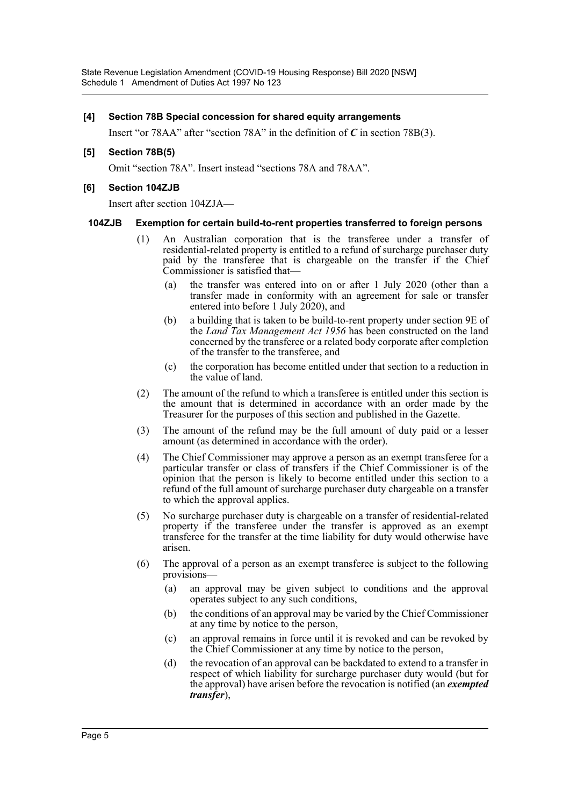#### **[4] Section 78B Special concession for shared equity arrangements**

Insert "or 78AA" after "section 78A" in the definition of *C* in section 78B(3).

### **[5] Section 78B(5)**

Omit "section 78A". Insert instead "sections 78A and 78AA".

## **[6] Section 104ZJB**

Insert after section 104ZJA—

#### **104ZJB Exemption for certain build-to-rent properties transferred to foreign persons**

- (1) An Australian corporation that is the transferee under a transfer of residential-related property is entitled to a refund of surcharge purchaser duty paid by the transferee that is chargeable on the transfer if the Chief Commissioner is satisfied that—
	- (a) the transfer was entered into on or after 1 July 2020 (other than a transfer made in conformity with an agreement for sale or transfer entered into before 1 July 2020), and
	- (b) a building that is taken to be build-to-rent property under section 9E of the *Land Tax Management Act 1956* has been constructed on the land concerned by the transferee or a related body corporate after completion of the transfer to the transferee, and
	- (c) the corporation has become entitled under that section to a reduction in the value of land.
- (2) The amount of the refund to which a transferee is entitled under this section is the amount that is determined in accordance with an order made by the Treasurer for the purposes of this section and published in the Gazette.
- (3) The amount of the refund may be the full amount of duty paid or a lesser amount (as determined in accordance with the order).
- (4) The Chief Commissioner may approve a person as an exempt transferee for a particular transfer or class of transfers if the Chief Commissioner is of the opinion that the person is likely to become entitled under this section to a refund of the full amount of surcharge purchaser duty chargeable on a transfer to which the approval applies.
- (5) No surcharge purchaser duty is chargeable on a transfer of residential-related property if the transferee under the transfer is approved as an exempt transferee for the transfer at the time liability for duty would otherwise have arisen.
- (6) The approval of a person as an exempt transferee is subject to the following provisions—
	- (a) an approval may be given subject to conditions and the approval operates subject to any such conditions,
	- (b) the conditions of an approval may be varied by the Chief Commissioner at any time by notice to the person,
	- (c) an approval remains in force until it is revoked and can be revoked by the Chief Commissioner at any time by notice to the person,
	- (d) the revocation of an approval can be backdated to extend to a transfer in respect of which liability for surcharge purchaser duty would (but for the approval) have arisen before the revocation is notified (an *exempted transfer*),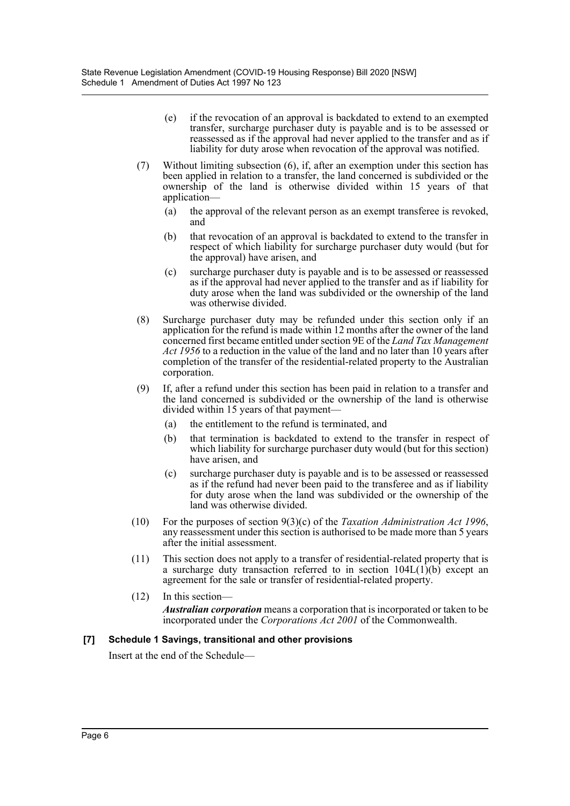- (e) if the revocation of an approval is backdated to extend to an exempted transfer, surcharge purchaser duty is payable and is to be assessed or reassessed as if the approval had never applied to the transfer and as if liability for duty arose when revocation of the approval was notified.
- (7) Without limiting subsection (6), if, after an exemption under this section has been applied in relation to a transfer, the land concerned is subdivided or the ownership of the land is otherwise divided within 15 years of that application—
	- (a) the approval of the relevant person as an exempt transferee is revoked, and
	- (b) that revocation of an approval is backdated to extend to the transfer in respect of which liability for surcharge purchaser duty would (but for the approval) have arisen, and
	- (c) surcharge purchaser duty is payable and is to be assessed or reassessed as if the approval had never applied to the transfer and as if liability for duty arose when the land was subdivided or the ownership of the land was otherwise divided.
- (8) Surcharge purchaser duty may be refunded under this section only if an application for the refund is made within 12 months after the owner of the land concerned first became entitled under section 9E of the *Land Tax Management Act 1956* to a reduction in the value of the land and no later than 10 years after completion of the transfer of the residential-related property to the Australian corporation.
- (9) If, after a refund under this section has been paid in relation to a transfer and the land concerned is subdivided or the ownership of the land is otherwise divided within 15 years of that payment—
	- (a) the entitlement to the refund is terminated, and
	- (b) that termination is backdated to extend to the transfer in respect of which liability for surcharge purchaser duty would (but for this section) have arisen, and
	- (c) surcharge purchaser duty is payable and is to be assessed or reassessed as if the refund had never been paid to the transferee and as if liability for duty arose when the land was subdivided or the ownership of the land was otherwise divided.
- (10) For the purposes of section 9(3)(c) of the *Taxation Administration Act 1996*, any reassessment under this section is authorised to be made more than 5 years after the initial assessment.
- (11) This section does not apply to a transfer of residential-related property that is a surcharge duty transaction referred to in section  $104L(1)(b)$  except an agreement for the sale or transfer of residential-related property.
- (12) In this section— *Australian corporation* means a corporation that is incorporated or taken to be incorporated under the *Corporations Act 2001* of the Commonwealth.

#### **[7] Schedule 1 Savings, transitional and other provisions**

Insert at the end of the Schedule—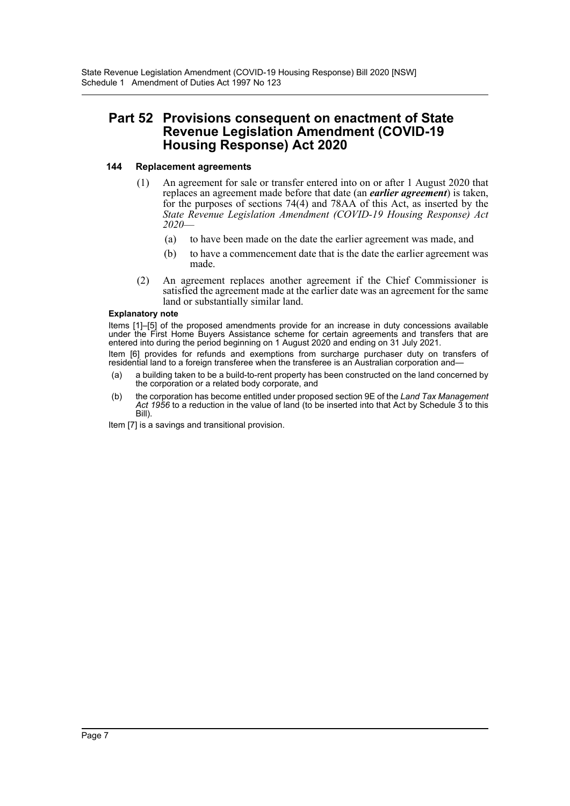# **Part 52 Provisions consequent on enactment of State Revenue Legislation Amendment (COVID-19 Housing Response) Act 2020**

## **144 Replacement agreements**

- (1) An agreement for sale or transfer entered into on or after 1 August 2020 that replaces an agreement made before that date (an *earlier agreement*) is taken, for the purposes of sections 74(4) and 78AA of this Act, as inserted by the *State Revenue Legislation Amendment (COVID-19 Housing Response) Act 2020*—
	- (a) to have been made on the date the earlier agreement was made, and
	- (b) to have a commencement date that is the date the earlier agreement was made.
- (2) An agreement replaces another agreement if the Chief Commissioner is satisfied the agreement made at the earlier date was an agreement for the same land or substantially similar land.

#### **Explanatory note**

Items [1]–[5] of the proposed amendments provide for an increase in duty concessions available under the First Home Buyers Assistance scheme for certain agreements and transfers that are entered into during the period beginning on 1 August 2020 and ending on 31 July 2021.

Item [6] provides for refunds and exemptions from surcharge purchaser duty on transfers of residential land to a foreign transferee when the transferee is an Australian corporation and—

- (a) a building taken to be a build-to-rent property has been constructed on the land concerned by the corporation or a related body corporate, and
- (b) the corporation has become entitled under proposed section 9E of the *Land Tax Management Act 1956* to a reduction in the value of land (to be inserted into that Act by Schedule 3 to this Bill).

Item [7] is a savings and transitional provision.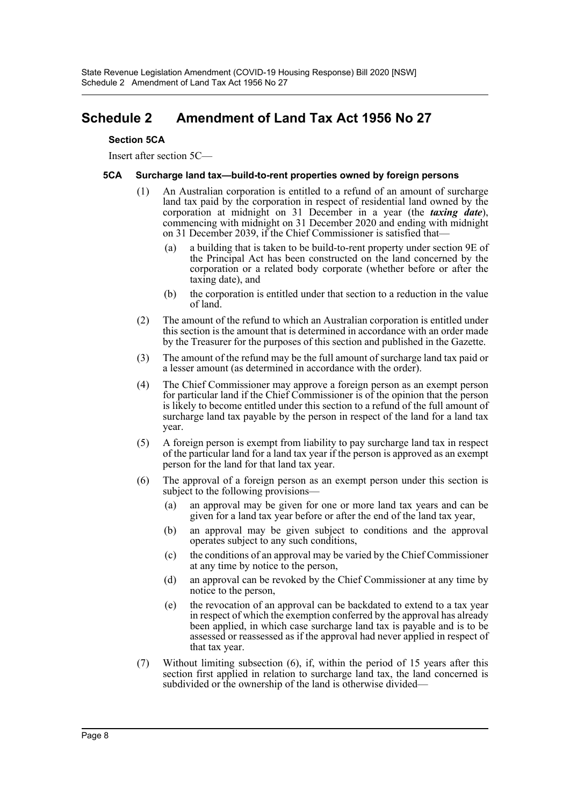# <span id="page-8-0"></span>**Schedule 2 Amendment of Land Tax Act 1956 No 27**

### **Section 5CA**

Insert after section 5C—

### **5CA Surcharge land tax—build-to-rent properties owned by foreign persons**

- (1) An Australian corporation is entitled to a refund of an amount of surcharge land tax paid by the corporation in respect of residential land owned by the corporation at midnight on 31 December in a year (the *taxing date*), commencing with midnight on 31 December 2020 and ending with midnight on 31 December 2039, if the Chief Commissioner is satisfied that—
	- (a) a building that is taken to be build-to-rent property under section 9E of the Principal Act has been constructed on the land concerned by the corporation or a related body corporate (whether before or after the taxing date), and
	- (b) the corporation is entitled under that section to a reduction in the value of land.
- (2) The amount of the refund to which an Australian corporation is entitled under this section is the amount that is determined in accordance with an order made by the Treasurer for the purposes of this section and published in the Gazette.
- (3) The amount of the refund may be the full amount of surcharge land tax paid or a lesser amount (as determined in accordance with the order).
- (4) The Chief Commissioner may approve a foreign person as an exempt person for particular land if the Chief Commissioner is of the opinion that the person is likely to become entitled under this section to a refund of the full amount of surcharge land tax payable by the person in respect of the land for a land tax year.
- (5) A foreign person is exempt from liability to pay surcharge land tax in respect of the particular land for a land tax year if the person is approved as an exempt person for the land for that land tax year.
- (6) The approval of a foreign person as an exempt person under this section is subject to the following provisions—
	- (a) an approval may be given for one or more land tax years and can be given for a land tax year before or after the end of the land tax year,
	- (b) an approval may be given subject to conditions and the approval operates subject to any such conditions,
	- (c) the conditions of an approval may be varied by the Chief Commissioner at any time by notice to the person,
	- (d) an approval can be revoked by the Chief Commissioner at any time by notice to the person,
	- (e) the revocation of an approval can be backdated to extend to a tax year in respect of which the exemption conferred by the approval has already been applied, in which case surcharge land tax is payable and is to be assessed or reassessed as if the approval had never applied in respect of that tax year.
- (7) Without limiting subsection (6), if, within the period of 15 years after this section first applied in relation to surcharge land tax, the land concerned is subdivided or the ownership of the land is otherwise divided—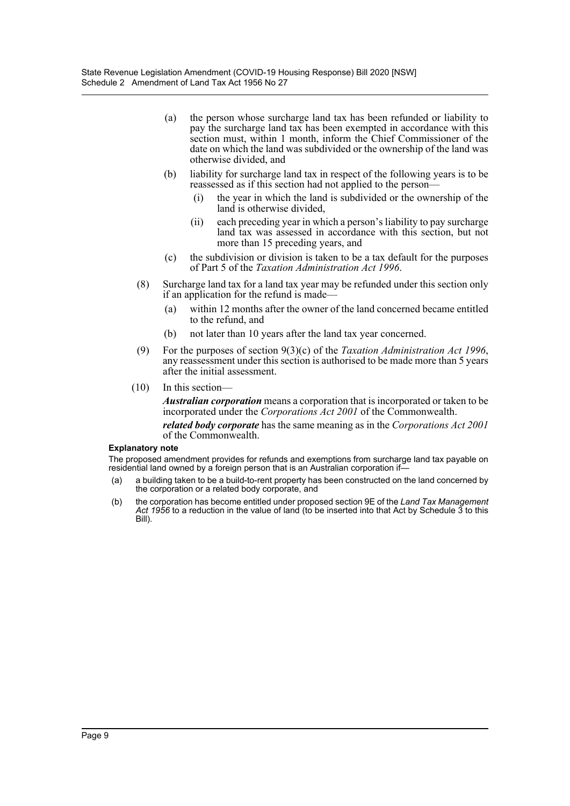- (a) the person whose surcharge land tax has been refunded or liability to pay the surcharge land tax has been exempted in accordance with this section must, within 1 month, inform the Chief Commissioner of the date on which the land was subdivided or the ownership of the land was otherwise divided, and
- (b) liability for surcharge land tax in respect of the following years is to be reassessed as if this section had not applied to the person—
	- (i) the year in which the land is subdivided or the ownership of the land is otherwise divided,
	- (ii) each preceding year in which a person's liability to pay surcharge land tax was assessed in accordance with this section, but not more than 15 preceding years, and
- (c) the subdivision or division is taken to be a tax default for the purposes of Part 5 of the *Taxation Administration Act 1996*.
- (8) Surcharge land tax for a land tax year may be refunded under this section only if an application for the refund is made—
	- (a) within 12 months after the owner of the land concerned became entitled to the refund, and
	- (b) not later than 10 years after the land tax year concerned.
- (9) For the purposes of section 9(3)(c) of the *Taxation Administration Act 1996*, any reassessment under this section is authorised to be made more than 5 years after the initial assessment.
- (10) In this section—

*Australian corporation* means a corporation that is incorporated or taken to be incorporated under the *Corporations Act 2001* of the Commonwealth.

*related body corporate* has the same meaning as in the *Corporations Act 2001* of the Commonwealth.

#### **Explanatory note**

The proposed amendment provides for refunds and exemptions from surcharge land tax payable on residential land owned by a foreign person that is an Australian corporation if—

- (a) a building taken to be a build-to-rent property has been constructed on the land concerned by the corporation or a related body corporate, and
- (b) the corporation has become entitled under proposed section 9E of the *Land Tax Management Act 1956* to a reduction in the value of land (to be inserted into that Act by Schedule 3 to this Bill).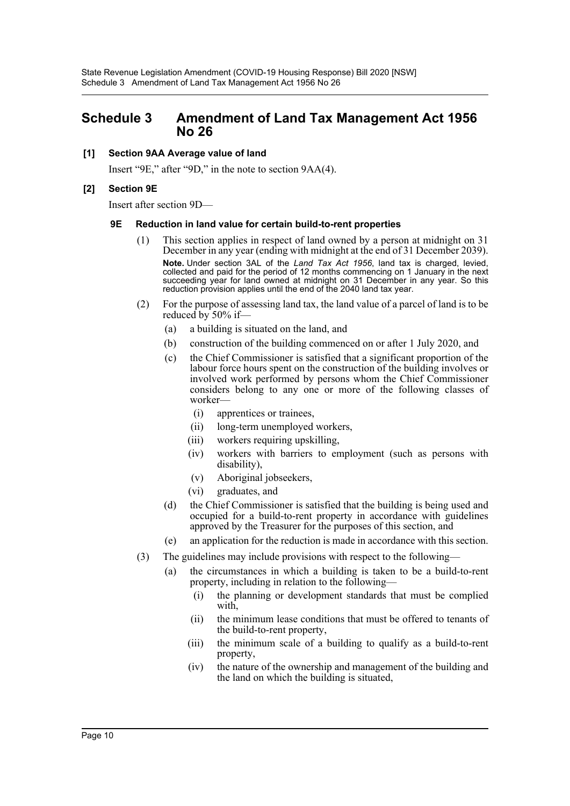## <span id="page-10-0"></span>**Schedule 3 Amendment of Land Tax Management Act 1956 No 26**

## **[1] Section 9AA Average value of land**

Insert "9E," after "9D," in the note to section 9AA(4).

## **[2] Section 9E**

Insert after section 9D—

#### **9E Reduction in land value for certain build-to-rent properties**

- (1) This section applies in respect of land owned by a person at midnight on 31 December in any year (ending with midnight at the end of 31 December 2039). **Note.** Under section 3AL of the *Land Tax Act 1956*, land tax is charged, levied, collected and paid for the period of 12 months commencing on 1 January in the next succeeding year for land owned at midnight on 31 December in any year. So this reduction provision applies until the end of the 2040 land tax year.
- (2) For the purpose of assessing land tax, the land value of a parcel of land is to be reduced by 50% if—
	- (a) a building is situated on the land, and
	- (b) construction of the building commenced on or after 1 July 2020, and
	- (c) the Chief Commissioner is satisfied that a significant proportion of the labour force hours spent on the construction of the building involves or involved work performed by persons whom the Chief Commissioner considers belong to any one or more of the following classes of worker—
		- (i) apprentices or trainees,
		- (ii) long-term unemployed workers,
		- (iii) workers requiring upskilling,
		- (iv) workers with barriers to employment (such as persons with disability),
		- (v) Aboriginal jobseekers,
		- (vi) graduates, and
	- (d) the Chief Commissioner is satisfied that the building is being used and occupied for a build-to-rent property in accordance with guidelines approved by the Treasurer for the purposes of this section, and
	- (e) an application for the reduction is made in accordance with this section.
- (3) The guidelines may include provisions with respect to the following—
	- (a) the circumstances in which a building is taken to be a build-to-rent property, including in relation to the following—
		- (i) the planning or development standards that must be complied with,
		- (ii) the minimum lease conditions that must be offered to tenants of the build-to-rent property,
		- (iii) the minimum scale of a building to qualify as a build-to-rent property,
		- (iv) the nature of the ownership and management of the building and the land on which the building is situated,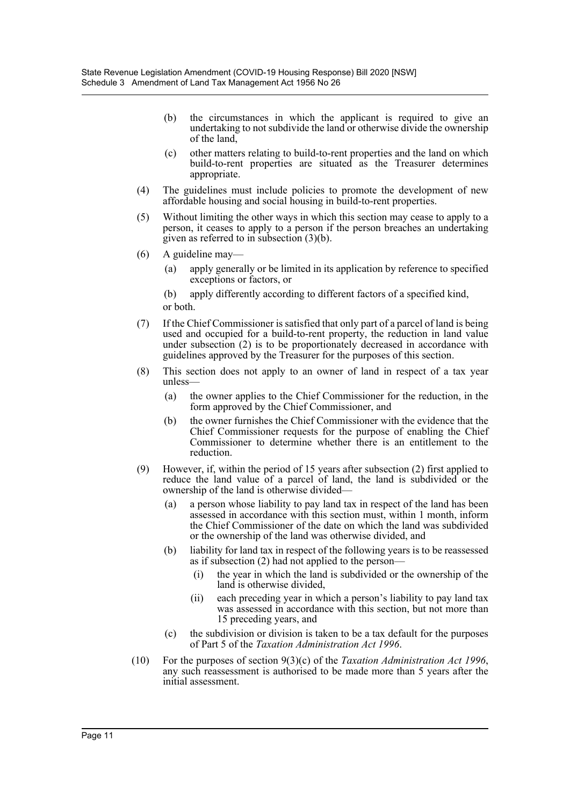- (b) the circumstances in which the applicant is required to give an undertaking to not subdivide the land or otherwise divide the ownership of the land,
- (c) other matters relating to build-to-rent properties and the land on which build-to-rent properties are situated as the Treasurer determines appropriate.
- (4) The guidelines must include policies to promote the development of new affordable housing and social housing in build-to-rent properties.
- (5) Without limiting the other ways in which this section may cease to apply to a person, it ceases to apply to a person if the person breaches an undertaking given as referred to in subsection (3)(b).
- (6) A guideline may—
	- (a) apply generally or be limited in its application by reference to specified exceptions or factors, or
	- (b) apply differently according to different factors of a specified kind, or both.
- (7) If the Chief Commissioner is satisfied that only part of a parcel of land is being used and occupied for a build-to-rent property, the reduction in land value under subsection (2) is to be proportionately decreased in accordance with guidelines approved by the Treasurer for the purposes of this section.
- (8) This section does not apply to an owner of land in respect of a tax year unless—
	- (a) the owner applies to the Chief Commissioner for the reduction, in the form approved by the Chief Commissioner, and
	- (b) the owner furnishes the Chief Commissioner with the evidence that the Chief Commissioner requests for the purpose of enabling the Chief Commissioner to determine whether there is an entitlement to the reduction.
- (9) However, if, within the period of 15 years after subsection (2) first applied to reduce the land value of a parcel of land, the land is subdivided or the ownership of the land is otherwise divided—
	- (a) a person whose liability to pay land tax in respect of the land has been assessed in accordance with this section must, within 1 month, inform the Chief Commissioner of the date on which the land was subdivided or the ownership of the land was otherwise divided, and
	- (b) liability for land tax in respect of the following years is to be reassessed as if subsection (2) had not applied to the person—
		- (i) the year in which the land is subdivided or the ownership of the land is otherwise divided,
		- (ii) each preceding year in which a person's liability to pay land tax was assessed in accordance with this section, but not more than 15 preceding years, and
	- (c) the subdivision or division is taken to be a tax default for the purposes of Part 5 of the *Taxation Administration Act 1996*.
- (10) For the purposes of section 9(3)(c) of the *Taxation Administration Act 1996*, any such reassessment is authorised to be made more than 5 years after the initial assessment.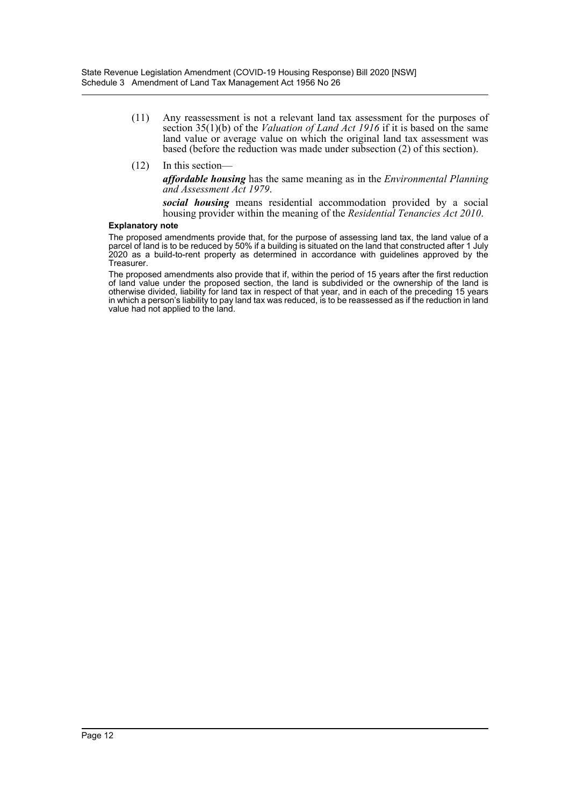- (11) Any reassessment is not a relevant land tax assessment for the purposes of section 35(1)(b) of the *Valuation of Land Act 1916* if it is based on the same land value or average value on which the original land tax assessment was based (before the reduction was made under subsection (2) of this section).
- (12) In this section—

*affordable housing* has the same meaning as in the *Environmental Planning and Assessment Act 1979*.

*social housing* means residential accommodation provided by a social housing provider within the meaning of the *Residential Tenancies Act 2010*.

#### **Explanatory note**

The proposed amendments provide that, for the purpose of assessing land tax, the land value of a parcel of land is to be reduced by 50% if a building is situated on the land that constructed after 1 July 2020 as a build-to-rent property as determined in accordance with guidelines approved by the Treasurer.

The proposed amendments also provide that if, within the period of 15 years after the first reduction of land value under the proposed section, the land is subdivided or the ownership of the land is otherwise divided, liability for land tax in respect of that year, and in each of the preceding 15 years in which a person's liability to pay land tax was reduced, is to be reassessed as if the reduction in land value had not applied to the land.